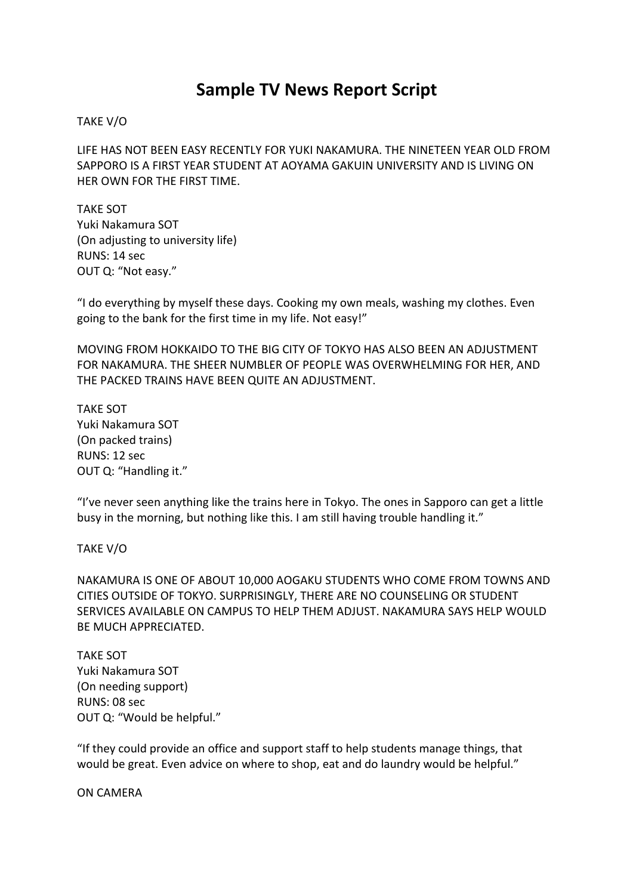## **Sample TV News Report Script**

## TAKE V/O

LIFE HAS NOT BEEN EASY RECENTLY FOR YUKI NAKAMURA. THE NINETEEN YEAR OLD FROM SAPPORO IS A FIRST YEAR STUDENT AT AOYAMA GAKUIN UNIVERSITY AND IS LIVING ON HER OWN FOR THE FIRST TIME.

TAKE SOT Yuki Nakamura SOT (On adjusting to university life) RUNS: 14 sec OUT Q: "Not easy."

"I do everything by myself these days. Cooking my own meals, washing my clothes. Even going to the bank for the first time in my life. Not easy!"

MOVING FROM HOKKAIDO TO THE BIG CITY OF TOKYO HAS ALSO BEEN AN ADJUSTMENT FOR NAKAMURA. THE SHEER NUMBLER OF PEOPLE WAS OVERWHELMING FOR HER, AND THE PACKED TRAINS HAVE BEEN QUITE AN ADJUSTMENT.

TAKE SOT Yuki Nakamura SOT (On packed trains) RUNS: 12 sec OUT Q: "Handling it."

"I've never seen anything like the trains here in Tokyo. The ones in Sapporo can get a little busy in the morning, but nothing like this. I am still having trouble handling it."

## TAKE V/O

NAKAMURA IS ONE OF ABOUT 10,000 AOGAKU STUDENTS WHO COME FROM TOWNS AND CITIES OUTSIDE OF TOKYO. SURPRISINGLY, THERE ARE NO COUNSELING OR STUDENT SERVICES AVAILABLE ON CAMPUS TO HELP THEM ADJUST. NAKAMURA SAYS HELP WOULD BE MUCH APPRECIATED.

TAKE SOT Yuki Nakamura SOT (On needing support) RUNS: 08 sec OUT Q: "Would be helpful."

"If they could provide an office and support staff to help students manage things, that would be great. Even advice on where to shop, eat and do laundry would be helpful."

ON CAMERA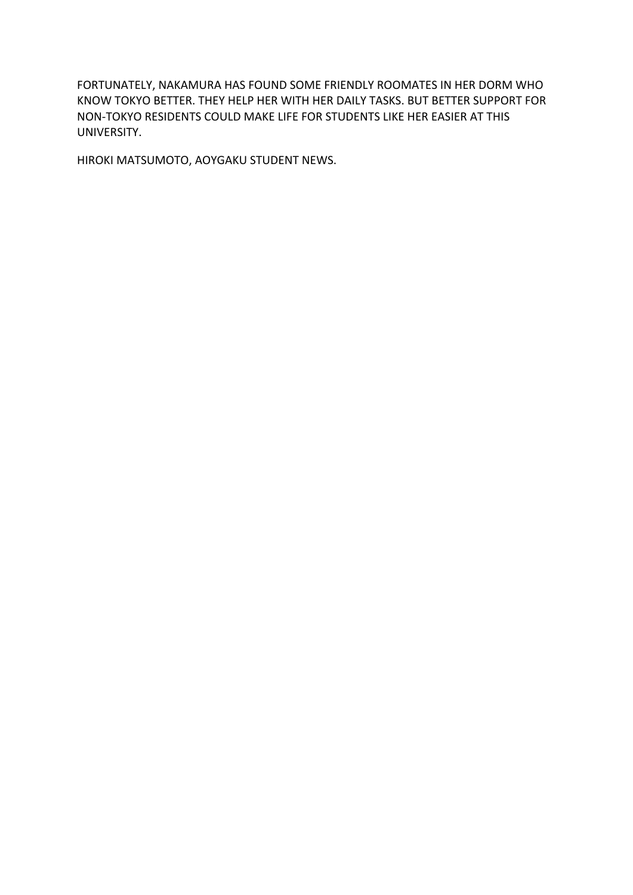FORTUNATELY, NAKAMURA HAS FOUND SOME FRIENDLY ROOMATES IN HER DORM WHO KNOW TOKYO BETTER. THEY HELP HER WITH HER DAILY TASKS. BUT BETTER SUPPORT FOR NON-TOKYO RESIDENTS COULD MAKE LIFE FOR STUDENTS LIKE HER EASIER AT THIS UNIVERSITY.

HIROKI MATSUMOTO, AOYGAKU STUDENT NEWS.